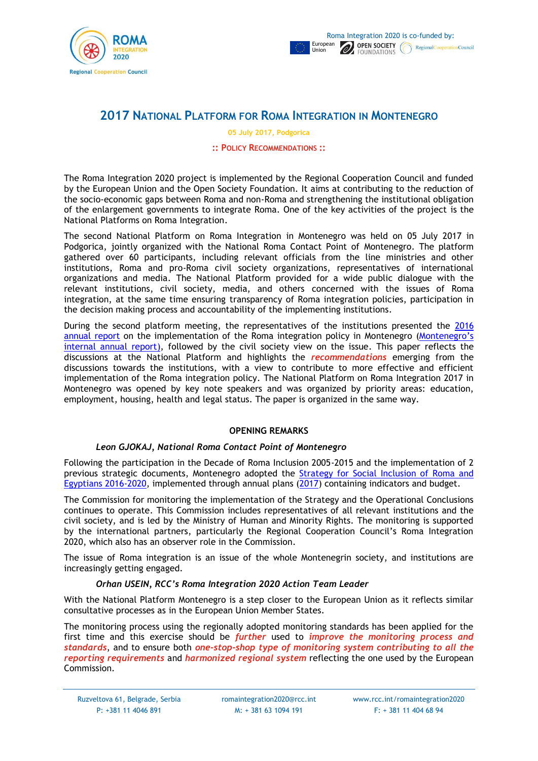



# **2017 NATIONAL PLATFORM FOR ROMA INTEGRATION IN MONTENEGRO**

**05 July 2017, Podgorica**

#### **:: POLICY RECOMMENDATIONS ::**

The Roma Integration 2020 project is implemented by the Regional Cooperation Council and funded by the European Union and the Open Society Foundation. It aims at contributing to the reduction of the socio-economic gaps between Roma and non-Roma and strengthening the institutional obligation of the enlargement governments to integrate Roma. One of the key activities of the project is the National Platforms on Roma Integration.

The second National Platform on Roma Integration in Montenegro was held on 05 July 2017 in Podgorica, jointly organized with the National Roma Contact Point of Montenegro. The platform gathered over 60 participants, including relevant officials from the line ministries and other institutions, Roma and pro-Roma civil society organizations, representatives of international organizations and media. The National Platform provided for a wide public dialogue with the relevant institutions, civil society, media, and others concerned with the issues of Roma integration, at the same time ensuring transparency of Roma integration policies, participation in the decision making process and accountability of the implementing institutions.

During the second platform meeting, the representatives of the institutions presented the [2016](http://www.rcc.int/romaintegration2020/download/docs/20170605%20ME%20Annual%20Report%202016.pdf/ff8bdf42e14f90e828117c316b164e1d.pdf)  [annual report](http://www.rcc.int/romaintegration2020/download/docs/20170605%20ME%20Annual%20Report%202016.pdf/ff8bdf42e14f90e828117c316b164e1d.pdf) on the implementation of the Roma integration policy in Montenegro (Montenegro's [internal annual report\)](http://www.mmp.gov.me/ResourceManager/FileDownload.aspx?rid=279832&rType=2&file=Izvje%C5%A1taj%20o%20sprovo%C4%91enju%20Strategije%20za%20socijalnu%20inkluziju%20Roma%20i%20Egip%C4%87ana%20za%202016.pdf), followed by the civil society view on the issue. This paper reflects the discussions at the National Platform and highlights the *recommendations* emerging from the discussions towards the institutions, with a view to contribute to more effective and efficient implementation of the Roma integration policy. The National Platform on Roma Integration 2017 in Montenegro was opened by key note speakers and was organized by priority areas: education, employment, housing, health and legal status. The paper is organized in the same way.

## **OPENING REMARKS**

## *Leon GJOKAJ, National Roma Contact Point of Montenegro*

Following the participation in the Decade of Roma Inclusion 2005-2015 and the implementation of 2 previous strategic documents, Montenegro adopted the [Strategy for Social Inclusion of Roma and](http://www.rcc.int/romaintegration2020/download/docs/20160324%20ME%20NRIS%202016-20%20&%20AP%202016%20%5ben%5d.pdf/ead61a0cacf1fccddee346ffd4d20afe.pdf)  [Egyptians 2016-2020,](http://www.rcc.int/romaintegration2020/download/docs/20160324%20ME%20NRIS%202016-20%20&%20AP%202016%20%5ben%5d.pdf/ead61a0cacf1fccddee346ffd4d20afe.pdf) implemented through annual plans [\(2017\)](http://www.rcc.int/romaintegration2020/download/docs/201703%20Action%20Plan%202017%20%5bme%5d.pdf/0333be73a48ee3b2a453e7e4e1f7a5ce.pdf) containing indicators and budget.

The Commission for monitoring the implementation of the Strategy and the Operational Conclusions continues to operate. This Commission includes representatives of all relevant institutions and the civil society, and is led by the Ministry of Human and Minority Rights. The monitoring is supported by the international partners, particularly the Regional Cooperation Council's Roma Integration 2020, which also has an observer role in the Commission.

The issue of Roma integration is an issue of the whole Montenegrin society, and institutions are increasingly getting engaged.

## *Orhan USEIN, RCC's Roma Integration 2020 Action Team Leader*

With the National Platform Montenegro is a step closer to the European Union as it reflects similar consultative processes as in the European Union Member States.

The monitoring process using the regionally adopted monitoring standards has been applied for the first time and this exercise should be *further* used to *improve the monitoring process and standards*, and to ensure both *one-stop-shop type of monitoring system contributing to all the reporting requirements* and *harmonized regional system* reflecting the one used by the European Commission.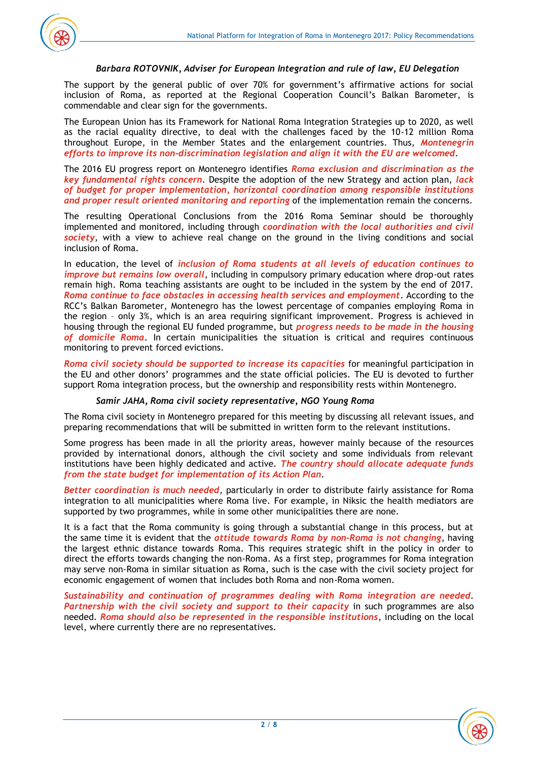

## *Barbara ROTOVNIK, Adviser for European Integration and rule of law, EU Delegation*

The support by the general public of over 70% for government's affirmative actions for social inclusion of Roma, as reported at the Regional Cooperation Council's Balkan Barometer, is commendable and clear sign for the governments.

The European Union has its Framework for National Roma Integration Strategies up to 2020, as well as the racial equality directive, to deal with the challenges faced by the 10-12 million Roma throughout Europe, in the Member States and the enlargement countries. Thus, *Montenegrin efforts to improve its non-discrimination legislation and align it with the EU are welcomed*.

The 2016 EU progress report on Montenegro identifies *Roma exclusion and discrimination as the key fundamental rights concern*. Despite the adoption of the new Strategy and action plan, *lack of budget for proper implementation, horizontal coordination among responsible institutions and proper result oriented monitoring and reporting* of the implementation remain the concerns.

The resulting Operational Conclusions from the 2016 Roma Seminar should be thoroughly implemented and monitored, including through *coordination with the local authorities and civil society*, with a view to achieve real change on the ground in the living conditions and social inclusion of Roma.

In education, the level of *inclusion of Roma students at all levels of education continues to improve but remains low overall*, including in compulsory primary education where drop-out rates remain high. Roma teaching assistants are ought to be included in the system by the end of 2017. *Roma continue to face obstacles in accessing health services and employment*. According to the RCC's Balkan Barometer, Montenegro has the lowest percentage of companies employing Roma in the region – only 3%, which is an area requiring significant improvement. Progress is achieved in housing through the regional EU funded programme, but *progress needs to be made in the housing of domicile Roma*. In certain municipalities the situation is critical and requires continuous monitoring to prevent forced evictions.

*Roma civil society should be supported to increase its capacities* for meaningful participation in the EU and other donors' programmes and the state official policies. The EU is devoted to further support Roma integration process, but the ownership and responsibility rests within Montenegro.

#### *Samir JAHA, Roma civil society representative, NGO Young Roma*

The Roma civil society in Montenegro prepared for this meeting by discussing all relevant issues, and preparing recommendations that will be submitted in written form to the relevant institutions.

Some progress has been made in all the priority areas, however mainly because of the resources provided by international donors, although the civil society and some individuals from relevant institutions have been highly dedicated and active. *The country should allocate adequate funds from the state budget for implementation of its Action Plan*.

*Better coordination is much needed*, particularly in order to distribute fairly assistance for Roma integration to all municipalities where Roma live. For example, in Niksic the health mediators are supported by two programmes, while in some other municipalities there are none.

It is a fact that the Roma community is going through a substantial change in this process, but at the same time it is evident that the *attitude towards Roma by non-Roma is not changing*, having the largest ethnic distance towards Roma. This requires strategic shift in the policy in order to direct the efforts towards changing the non-Roma. As a first step, programmes for Roma integration may serve non-Roma in similar situation as Roma, such is the case with the civil society project for economic engagement of women that includes both Roma and non-Roma women.

*Sustainability and continuation of programmes dealing with Roma integration are needed*. *Partnership with the civil society and support to their capacity* in such programmes are also needed. *Roma should also be represented in the responsible institutions*, including on the local level, where currently there are no representatives.

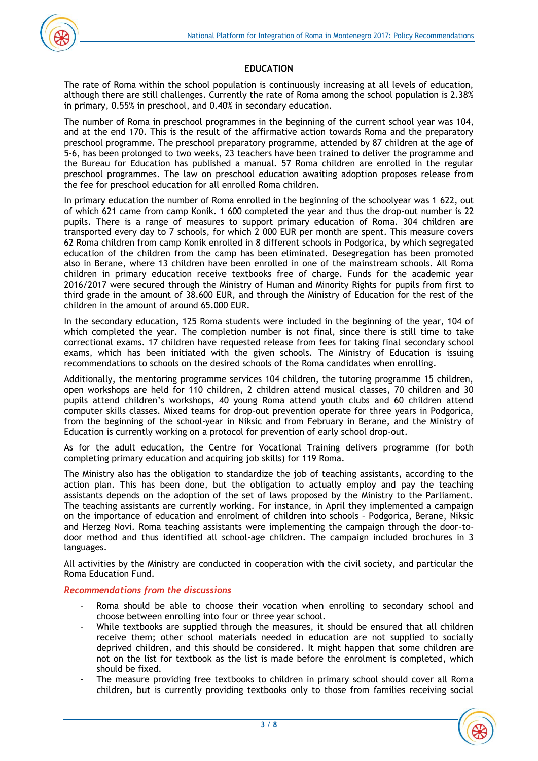

# **EDUCATION**

The rate of Roma within the school population is continuously increasing at all levels of education, although there are still challenges. Currently the rate of Roma among the school population is 2.38% in primary, 0.55% in preschool, and 0.40% in secondary education.

The number of Roma in preschool programmes in the beginning of the current school year was 104, and at the end 170. This is the result of the affirmative action towards Roma and the preparatory preschool programme. The preschool preparatory programme, attended by 87 children at the age of 5-6, has been prolonged to two weeks, 23 teachers have been trained to deliver the programme and the Bureau for Education has published a manual. 57 Roma children are enrolled in the regular preschool programmes. The law on preschool education awaiting adoption proposes release from the fee for preschool education for all enrolled Roma children.

In primary education the number of Roma enrolled in the beginning of the schoolyear was 1 622, out of which 621 came from camp Konik. 1 600 completed the year and thus the drop-out number is 22 pupils. There is a range of measures to support primary education of Roma. 304 children are transported every day to 7 schools, for which 2 000 EUR per month are spent. This measure covers 62 Roma children from camp Konik enrolled in 8 different schools in Podgorica, by which segregated education of the children from the camp has been eliminated. Desegregation has been promoted also in Berane, where 13 children have been enrolled in one of the mainstream schools. All Roma children in primary education receive textbooks free of charge. Funds for the academic year 2016/2017 were secured through the Ministry of Human and Minority Rights for pupils from first to third grade in the amount of 38.600 EUR, and through the Ministry of Education for the rest of the children in the amount of around 65.000 EUR.

In the secondary education, 125 Roma students were included in the beginning of the year, 104 of which completed the year. The completion number is not final, since there is still time to take correctional exams. 17 children have requested release from fees for taking final secondary school exams, which has been initiated with the given schools. The Ministry of Education is issuing recommendations to schools on the desired schools of the Roma candidates when enrolling.

Additionally, the mentoring programme services 104 children, the tutoring programme 15 children, open workshops are held for 110 children, 2 children attend musical classes, 70 children and 30 pupils attend children's workshops, 40 young Roma attend youth clubs and 60 children attend computer skills classes. Mixed teams for drop-out prevention operate for three years in Podgorica, from the beginning of the school-year in Niksic and from February in Berane, and the Ministry of Education is currently working on a protocol for prevention of early school drop-out.

As for the adult education, the Centre for Vocational Training delivers programme (for both completing primary education and acquiring job skills) for 119 Roma.

The Ministry also has the obligation to standardize the job of teaching assistants, according to the action plan. This has been done, but the obligation to actually employ and pay the teaching assistants depends on the adoption of the set of laws proposed by the Ministry to the Parliament. The teaching assistants are currently working. For instance, in April they implemented a campaign on the importance of education and enrolment of children into schools – Podgorica, Berane, Niksic and Herzeg Novi. Roma teaching assistants were implementing the campaign through the door-todoor method and thus identified all school-age children. The campaign included brochures in 3 languages.

All activities by the Ministry are conducted in cooperation with the civil society, and particular the Roma Education Fund.

## *Recommendations from the discussions*

- Roma should be able to choose their vocation when enrolling to secondary school and choose between enrolling into four or three year school.
- While textbooks are supplied through the measures, it should be ensured that all children receive them; other school materials needed in education are not supplied to socially deprived children, and this should be considered. It might happen that some children are not on the list for textbook as the list is made before the enrolment is completed, which should be fixed.
- The measure providing free textbooks to children in primary school should cover all Roma children, but is currently providing textbooks only to those from families receiving social

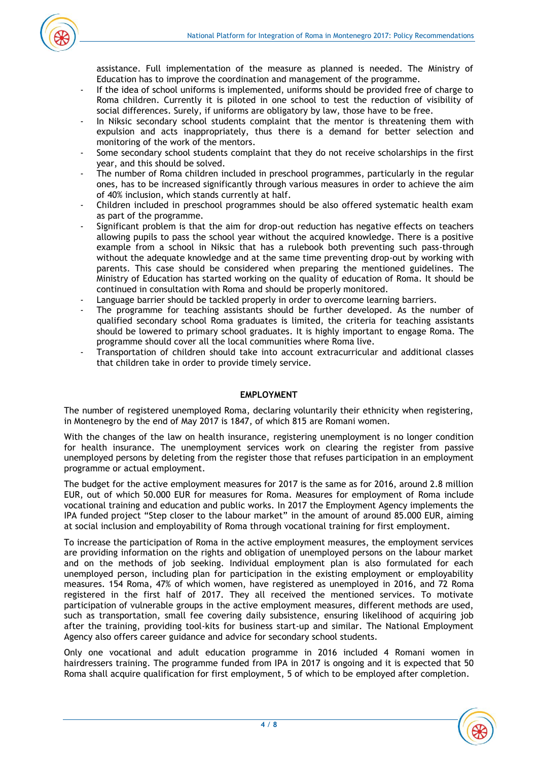

assistance. Full implementation of the measure as planned is needed. The Ministry of Education has to improve the coordination and management of the programme.

- If the idea of school uniforms is implemented, uniforms should be provided free of charge to Roma children. Currently it is piloted in one school to test the reduction of visibility of social differences. Surely, if uniforms are obligatory by law, those have to be free.
- In Niksic secondary school students complaint that the mentor is threatening them with expulsion and acts inappropriately, thus there is a demand for better selection and monitoring of the work of the mentors.
- Some secondary school students complaint that they do not receive scholarships in the first year, and this should be solved.
- The number of Roma children included in preschool programmes, particularly in the regular ones, has to be increased significantly through various measures in order to achieve the aim of 40% inclusion, which stands currently at half.
- Children included in preschool programmes should be also offered systematic health exam as part of the programme.
- Significant problem is that the aim for drop-out reduction has negative effects on teachers allowing pupils to pass the school year without the acquired knowledge. There is a positive example from a school in Niksic that has a rulebook both preventing such pass-through without the adequate knowledge and at the same time preventing drop-out by working with parents. This case should be considered when preparing the mentioned guidelines. The Ministry of Education has started working on the quality of education of Roma. It should be continued in consultation with Roma and should be properly monitored.
- Language barrier should be tackled properly in order to overcome learning barriers.
- The programme for teaching assistants should be further developed. As the number of qualified secondary school Roma graduates is limited, the criteria for teaching assistants should be lowered to primary school graduates. It is highly important to engage Roma. The programme should cover all the local communities where Roma live.
- Transportation of children should take into account extracurricular and additional classes that children take in order to provide timely service.

## **EMPLOYMENT**

The number of registered unemployed Roma, declaring voluntarily their ethnicity when registering, in Montenegro by the end of May 2017 is 1847, of which 815 are Romani women.

With the changes of the law on health insurance, registering unemployment is no longer condition for health insurance. The unemployment services work on clearing the register from passive unemployed persons by deleting from the register those that refuses participation in an employment programme or actual employment.

The budget for the active employment measures for 2017 is the same as for 2016, around 2.8 million EUR, out of which 50.000 EUR for measures for Roma. Measures for employment of Roma include vocational training and education and public works. In 2017 the Employment Agency implements the IPA funded project "Step closer to the labour market" in the amount of around 85.000 EUR, aiming at social inclusion and employability of Roma through vocational training for first employment.

To increase the participation of Roma in the active employment measures, the employment services are providing information on the rights and obligation of unemployed persons on the labour market and on the methods of job seeking. Individual employment plan is also formulated for each unemployed person, including plan for participation in the existing employment or employability measures. 154 Roma, 47% of which women, have registered as unemployed in 2016, and 72 Roma registered in the first half of 2017. They all received the mentioned services. To motivate participation of vulnerable groups in the active employment measures, different methods are used, such as transportation, small fee covering daily subsistence, ensuring likelihood of acquiring job after the training, providing tool-kits for business start-up and similar. The National Employment Agency also offers career guidance and advice for secondary school students.

Only one vocational and adult education programme in 2016 included 4 Romani women in hairdressers training. The programme funded from IPA in 2017 is ongoing and it is expected that 50 Roma shall acquire qualification for first employment, 5 of which to be employed after completion.

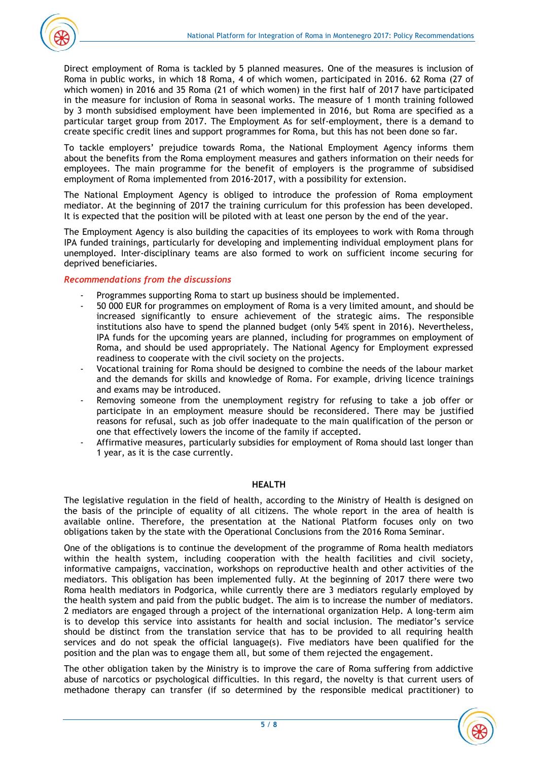

Direct employment of Roma is tackled by 5 planned measures. One of the measures is inclusion of Roma in public works, in which 18 Roma, 4 of which women, participated in 2016. 62 Roma (27 of which women) in 2016 and 35 Roma (21 of which women) in the first half of 2017 have participated in the measure for inclusion of Roma in seasonal works. The measure of 1 month training followed by 3 month subsidised employment have been implemented in 2016, but Roma are specified as a particular target group from 2017. The Employment As for self-employment, there is a demand to create specific credit lines and support programmes for Roma, but this has not been done so far.

To tackle employers' prejudice towards Roma, the National Employment Agency informs them about the benefits from the Roma employment measures and gathers information on their needs for employees. The main programme for the benefit of employers is the programme of subsidised employment of Roma implemented from 2016-2017, with a possibility for extension.

The National Employment Agency is obliged to introduce the profession of Roma employment mediator. At the beginning of 2017 the training curriculum for this profession has been developed. It is expected that the position will be piloted with at least one person by the end of the year.

The Employment Agency is also building the capacities of its employees to work with Roma through IPA funded trainings, particularly for developing and implementing individual employment plans for unemployed. Inter-disciplinary teams are also formed to work on sufficient income securing for deprived beneficiaries.

## *Recommendations from the discussions*

- Programmes supporting Roma to start up business should be implemented.
- 50 000 EUR for programmes on employment of Roma is a very limited amount, and should be increased significantly to ensure achievement of the strategic aims. The responsible institutions also have to spend the planned budget (only 54% spent in 2016). Nevertheless, IPA funds for the upcoming years are planned, including for programmes on employment of Roma, and should be used appropriately. The National Agency for Employment expressed readiness to cooperate with the civil society on the projects.
- Vocational training for Roma should be designed to combine the needs of the labour market and the demands for skills and knowledge of Roma. For example, driving licence trainings and exams may be introduced.
- Removing someone from the unemployment registry for refusing to take a job offer or participate in an employment measure should be reconsidered. There may be justified reasons for refusal, such as job offer inadequate to the main qualification of the person or one that effectively lowers the income of the family if accepted.
- Affirmative measures, particularly subsidies for employment of Roma should last longer than 1 year, as it is the case currently.

#### **HEALTH**

The legislative regulation in the field of health, according to the Ministry of Health is designed on the basis of the principle of equality of all citizens. The whole report in the area of health is available online. Therefore, the presentation at the National Platform focuses only on two obligations taken by the state with the Operational Conclusions from the 2016 Roma Seminar.

One of the obligations is to continue the development of the programme of Roma health mediators within the health system, including cooperation with the health facilities and civil society, informative campaigns, vaccination, workshops on reproductive health and other activities of the mediators. This obligation has been implemented fully. At the beginning of 2017 there were two Roma health mediators in Podgorica, while currently there are 3 mediators regularly employed by the health system and paid from the public budget. The aim is to increase the number of mediators. 2 mediators are engaged through a project of the international organization Help. A long-term aim is to develop this service into assistants for health and social inclusion. The mediator's service should be distinct from the translation service that has to be provided to all requiring health services and do not speak the official language(s). Five mediators have been qualified for the position and the plan was to engage them all, but some of them rejected the engagement.

The other obligation taken by the Ministry is to improve the care of Roma suffering from addictive abuse of narcotics or psychological difficulties. In this regard, the novelty is that current users of methadone therapy can transfer (if so determined by the responsible medical practitioner) to

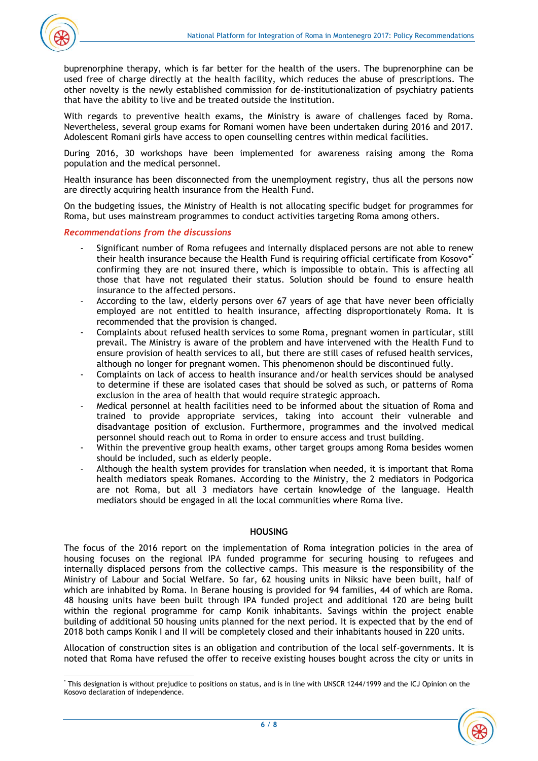

buprenorphine therapy, which is far better for the health of the users. The buprenorphine can be used free of charge directly at the health facility, which reduces the abuse of prescriptions. The other novelty is the newly established commission for de-institutionalization of psychiatry patients that have the ability to live and be treated outside the institution.

With regards to preventive health exams, the Ministry is aware of challenges faced by Roma. Nevertheless, several group exams for Romani women have been undertaken during 2016 and 2017. Adolescent Romani girls have access to open counselling centres within medical facilities.

During 2016, 30 workshops have been implemented for awareness raising among the Roma population and the medical personnel.

Health insurance has been disconnected from the unemployment registry, thus all the persons now are directly acquiring health insurance from the Health Fund.

On the budgeting issues, the Ministry of Health is not allocating specific budget for programmes for Roma, but uses mainstream programmes to conduct activities targeting Roma among others.

#### *Recommendations from the discussions*

- Significant number of Roma refugees and internally displaced persons are not able to renew their health insurance because the Health Fund is requiring official certificate from Kosovo\* confirming they are not insured there, which is impossible to obtain. This is affecting all those that have not regulated their status. Solution should be found to ensure health insurance to the affected persons.
- According to the law, elderly persons over 67 years of age that have never been officially employed are not entitled to health insurance, affecting disproportionately Roma. It is recommended that the provision is changed.
- Complaints about refused health services to some Roma, pregnant women in particular, still prevail. The Ministry is aware of the problem and have intervened with the Health Fund to ensure provision of health services to all, but there are still cases of refused health services, although no longer for pregnant women. This phenomenon should be discontinued fully.
- Complaints on lack of access to health insurance and/or health services should be analysed to determine if these are isolated cases that should be solved as such, or patterns of Roma exclusion in the area of health that would require strategic approach.
- Medical personnel at health facilities need to be informed about the situation of Roma and trained to provide appropriate services, taking into account their vulnerable and disadvantage position of exclusion. Furthermore, programmes and the involved medical personnel should reach out to Roma in order to ensure access and trust building.
- Within the preventive group health exams, other target groups among Roma besides women should be included, such as elderly people.
- Although the health system provides for translation when needed, it is important that Roma health mediators speak Romanes. According to the Ministry, the 2 mediators in Podgorica are not Roma, but all 3 mediators have certain knowledge of the language. Health mediators should be engaged in all the local communities where Roma live.

#### **HOUSING**

The focus of the 2016 report on the implementation of Roma integration policies in the area of housing focuses on the regional IPA funded programme for securing housing to refugees and internally displaced persons from the collective camps. This measure is the responsibility of the Ministry of Labour and Social Welfare. So far, 62 housing units in Niksic have been built, half of which are inhabited by Roma. In Berane housing is provided for 94 families, 44 of which are Roma. 48 housing units have been built through IPA funded project and additional 120 are being built within the regional programme for camp Konik inhabitants. Savings within the project enable building of additional 50 housing units planned for the next period. It is expected that by the end of 2018 both camps Konik I and II will be completely closed and their inhabitants housed in 220 units.

Allocation of construction sites is an obligation and contribution of the local self-governments. It is noted that Roma have refused the offer to receive existing houses bought across the city or units in

 $\overline{\phantom{a}}$ \* This designation is without prejudice to positions on status, and is in line with UNSCR 1244/1999 and the ICJ Opinion on the Kosovo declaration of independence.

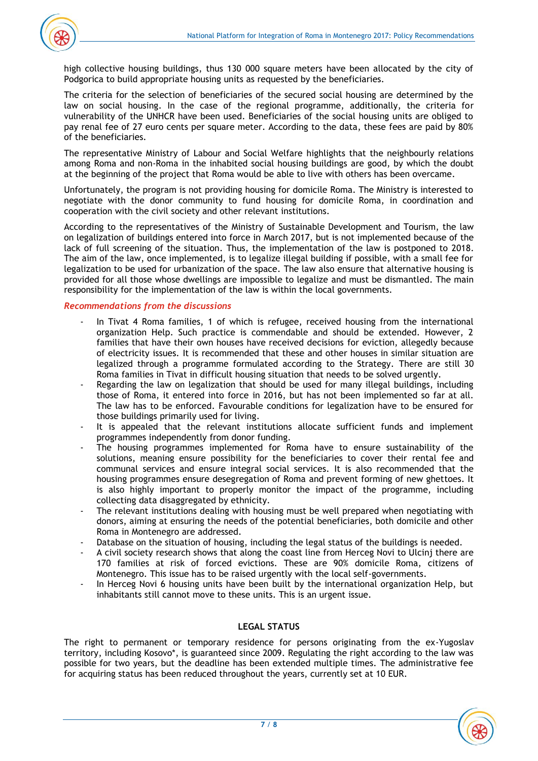

high collective housing buildings, thus 130 000 square meters have been allocated by the city of Podgorica to build appropriate housing units as requested by the beneficiaries.

The criteria for the selection of beneficiaries of the secured social housing are determined by the law on social housing. In the case of the regional programme, additionally, the criteria for vulnerability of the UNHCR have been used. Beneficiaries of the social housing units are obliged to pay renal fee of 27 euro cents per square meter. According to the data, these fees are paid by 80% of the beneficiaries.

The representative Ministry of Labour and Social Welfare highlights that the neighbourly relations among Roma and non-Roma in the inhabited social housing buildings are good, by which the doubt at the beginning of the project that Roma would be able to live with others has been overcame.

Unfortunately, the program is not providing housing for domicile Roma. The Ministry is interested to negotiate with the donor community to fund housing for domicile Roma, in coordination and cooperation with the civil society and other relevant institutions.

According to the representatives of the Ministry of Sustainable Development and Tourism, the law on legalization of buildings entered into force in March 2017, but is not implemented because of the lack of full screening of the situation. Thus, the implementation of the law is postponed to 2018. The aim of the law, once implemented, is to legalize illegal building if possible, with a small fee for legalization to be used for urbanization of the space. The law also ensure that alternative housing is provided for all those whose dwellings are impossible to legalize and must be dismantled. The main responsibility for the implementation of the law is within the local governments.

## *Recommendations from the discussions*

- In Tivat 4 Roma families, 1 of which is refugee, received housing from the international organization Help. Such practice is commendable and should be extended. However, 2 families that have their own houses have received decisions for eviction, allegedly because of electricity issues. It is recommended that these and other houses in similar situation are legalized through a programme formulated according to the Strategy. There are still 30 Roma families in Tivat in difficult housing situation that needs to be solved urgently.
- Regarding the law on legalization that should be used for many illegal buildings, including those of Roma, it entered into force in 2016, but has not been implemented so far at all. The law has to be enforced. Favourable conditions for legalization have to be ensured for those buildings primarily used for living.
- It is appealed that the relevant institutions allocate sufficient funds and implement programmes independently from donor funding.
- The housing programmes implemented for Roma have to ensure sustainability of the solutions, meaning ensure possibility for the beneficiaries to cover their rental fee and communal services and ensure integral social services. It is also recommended that the housing programmes ensure desegregation of Roma and prevent forming of new ghettoes. It is also highly important to properly monitor the impact of the programme, including collecting data disaggregated by ethnicity.
- The relevant institutions dealing with housing must be well prepared when negotiating with donors, aiming at ensuring the needs of the potential beneficiaries, both domicile and other Roma in Montenegro are addressed.
- Database on the situation of housing, including the legal status of the buildings is needed.
- A civil society research shows that along the coast line from Herceg Novi to Ulcinj there are 170 families at risk of forced evictions. These are 90% domicile Roma, citizens of Montenegro. This issue has to be raised urgently with the local self-governments.
- In Herceg Novi 6 housing units have been built by the international organization Help, but inhabitants still cannot move to these units. This is an urgent issue.

#### **LEGAL STATUS**

The right to permanent or temporary residence for persons originating from the ex-Yugoslav territory, including Kosovo\*, is guaranteed since 2009. Regulating the right according to the law was possible for two years, but the deadline has been extended multiple times. The administrative fee for acquiring status has been reduced throughout the years, currently set at 10 EUR.